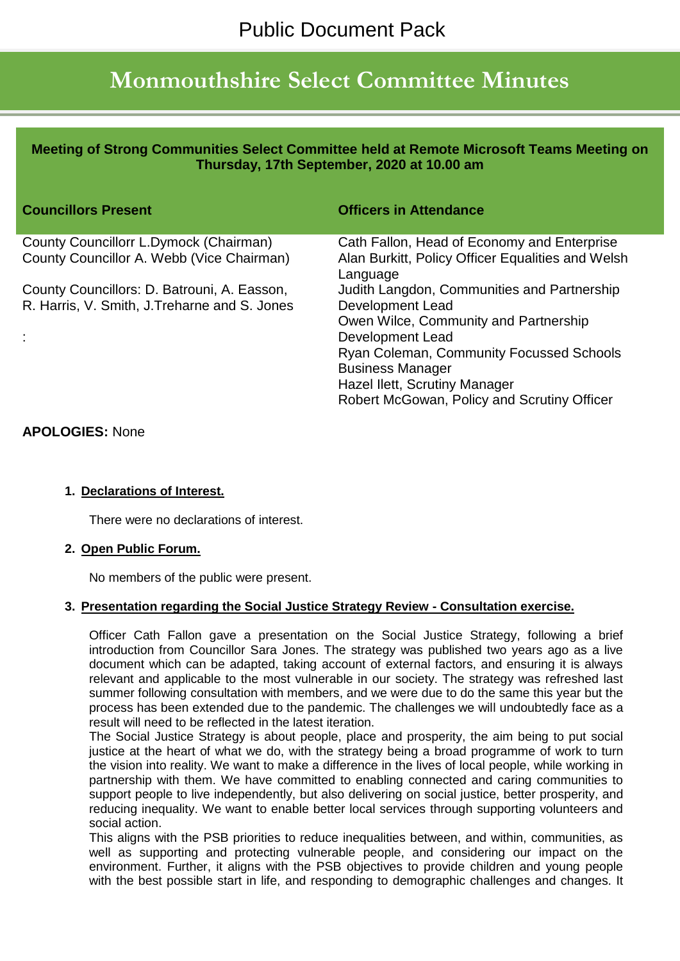# **Monmouthshire Select Committee Minutes**

**Meeting of Strong Communities Select Committee held at Remote Microsoft Teams Meeting on Thursday, 17th September, 2020 at 10.00 am**

| <b>Councillors Present</b>                    | <b>Officers in Attendance</b>                                 |
|-----------------------------------------------|---------------------------------------------------------------|
| County Councillorr L.Dymock (Chairman)        | Cath Fallon, Head of Economy and Enterprise                   |
| County Councillor A. Webb (Vice Chairman)     | Alan Burkitt, Policy Officer Equalities and Welsh<br>Language |
| County Councillors: D. Batrouni, A. Easson,   | Judith Langdon, Communities and Partnership                   |
| R. Harris, V. Smith, J. Treharne and S. Jones | Development Lead                                              |
|                                               | Owen Wilce, Community and Partnership                         |
|                                               | Development Lead                                              |
|                                               | <b>Ryan Coleman, Community Focussed Schools</b>               |
|                                               | <b>Business Manager</b>                                       |
|                                               | Hazel Ilett, Scrutiny Manager                                 |
|                                               | Robert McGowan, Policy and Scrutiny Officer                   |

## **APOLOGIES:** None

#### **1. Declarations of Interest.**

There were no declarations of interest.

#### **2. Open Public Forum.**

No members of the public were present.

#### **3. Presentation regarding the Social Justice Strategy Review - Consultation exercise.**

Officer Cath Fallon gave a presentation on the Social Justice Strategy, following a brief introduction from Councillor Sara Jones. The strategy was published two years ago as a live document which can be adapted, taking account of external factors, and ensuring it is always relevant and applicable to the most vulnerable in our society. The strategy was refreshed last summer following consultation with members, and we were due to do the same this year but the process has been extended due to the pandemic. The challenges we will undoubtedly face as a result will need to be reflected in the latest iteration.

The Social Justice Strategy is about people, place and prosperity, the aim being to put social justice at the heart of what we do, with the strategy being a broad programme of work to turn the vision into reality. We want to make a difference in the lives of local people, while working in partnership with them. We have committed to enabling connected and caring communities to support people to live independently, but also delivering on social justice, better prosperity, and reducing inequality. We want to enable better local services through supporting volunteers and social action.

This aligns with the PSB priorities to reduce inequalities between, and within, communities, as well as supporting and protecting vulnerable people, and considering our impact on the environment. Further, it aligns with the PSB objectives to provide children and young people with the best possible start in life, and responding to demographic challenges and changes. It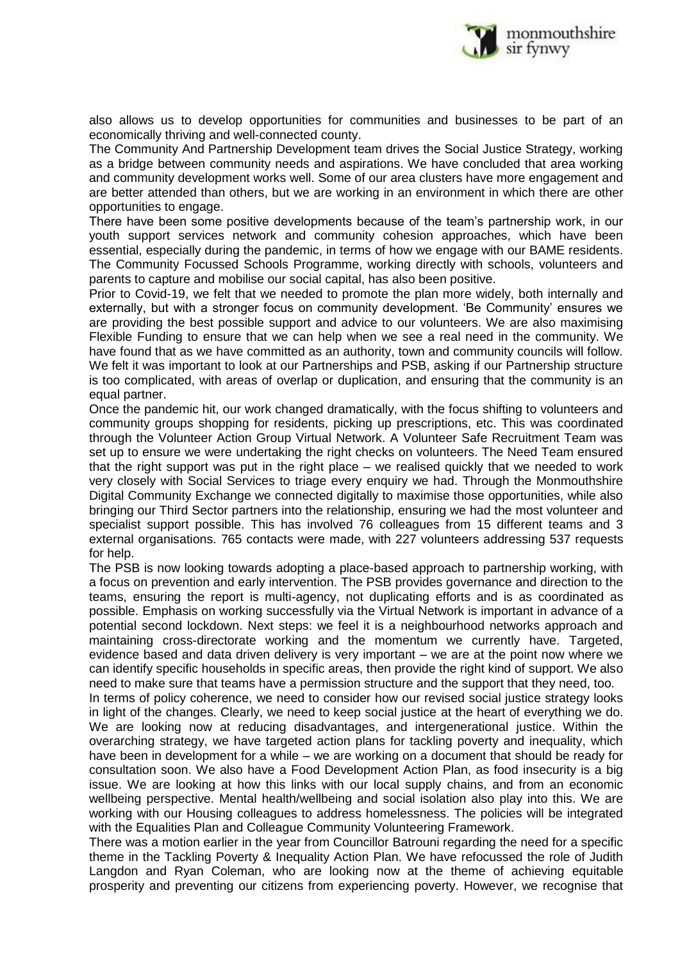

also allows us to develop opportunities for communities and businesses to be part of an economically thriving and well-connected county.

The Community And Partnership Development team drives the Social Justice Strategy, working as a bridge between community needs and aspirations. We have concluded that area working and community development works well. Some of our area clusters have more engagement and are better attended than others, but we are working in an environment in which there are other opportunities to engage.

There have been some positive developments because of the team's partnership work, in our youth support services network and community cohesion approaches, which have been essential, especially during the pandemic, in terms of how we engage with our BAME residents. The Community Focussed Schools Programme, working directly with schools, volunteers and parents to capture and mobilise our social capital, has also been positive.

Prior to Covid-19, we felt that we needed to promote the plan more widely, both internally and externally, but with a stronger focus on community development. 'Be Community' ensures we are providing the best possible support and advice to our volunteers. We are also maximising Flexible Funding to ensure that we can help when we see a real need in the community. We have found that as we have committed as an authority, town and community councils will follow. We felt it was important to look at our Partnerships and PSB, asking if our Partnership structure is too complicated, with areas of overlap or duplication, and ensuring that the community is an equal partner.

Once the pandemic hit, our work changed dramatically, with the focus shifting to volunteers and community groups shopping for residents, picking up prescriptions, etc. This was coordinated through the Volunteer Action Group Virtual Network. A Volunteer Safe Recruitment Team was set up to ensure we were undertaking the right checks on volunteers. The Need Team ensured that the right support was put in the right place – we realised quickly that we needed to work very closely with Social Services to triage every enquiry we had. Through the Monmouthshire Digital Community Exchange we connected digitally to maximise those opportunities, while also bringing our Third Sector partners into the relationship, ensuring we had the most volunteer and specialist support possible. This has involved 76 colleagues from 15 different teams and 3 external organisations. 765 contacts were made, with 227 volunteers addressing 537 requests for help.

The PSB is now looking towards adopting a place-based approach to partnership working, with a focus on prevention and early intervention. The PSB provides governance and direction to the teams, ensuring the report is multi-agency, not duplicating efforts and is as coordinated as possible. Emphasis on working successfully via the Virtual Network is important in advance of a potential second lockdown. Next steps: we feel it is a neighbourhood networks approach and maintaining cross-directorate working and the momentum we currently have. Targeted, evidence based and data driven delivery is very important – we are at the point now where we can identify specific households in specific areas, then provide the right kind of support. We also need to make sure that teams have a permission structure and the support that they need, too.

In terms of policy coherence, we need to consider how our revised social justice strategy looks in light of the changes. Clearly, we need to keep social justice at the heart of everything we do. We are looking now at reducing disadvantages, and intergenerational justice. Within the overarching strategy, we have targeted action plans for tackling poverty and inequality, which have been in development for a while – we are working on a document that should be ready for consultation soon. We also have a Food Development Action Plan, as food insecurity is a big issue. We are looking at how this links with our local supply chains, and from an economic wellbeing perspective. Mental health/wellbeing and social isolation also play into this. We are working with our Housing colleagues to address homelessness. The policies will be integrated with the Equalities Plan and Colleague Community Volunteering Framework.

There was a motion earlier in the year from Councillor Batrouni regarding the need for a specific theme in the Tackling Poverty & Inequality Action Plan. We have refocussed the role of Judith Langdon and Ryan Coleman, who are looking now at the theme of achieving equitable prosperity and preventing our citizens from experiencing poverty. However, we recognise that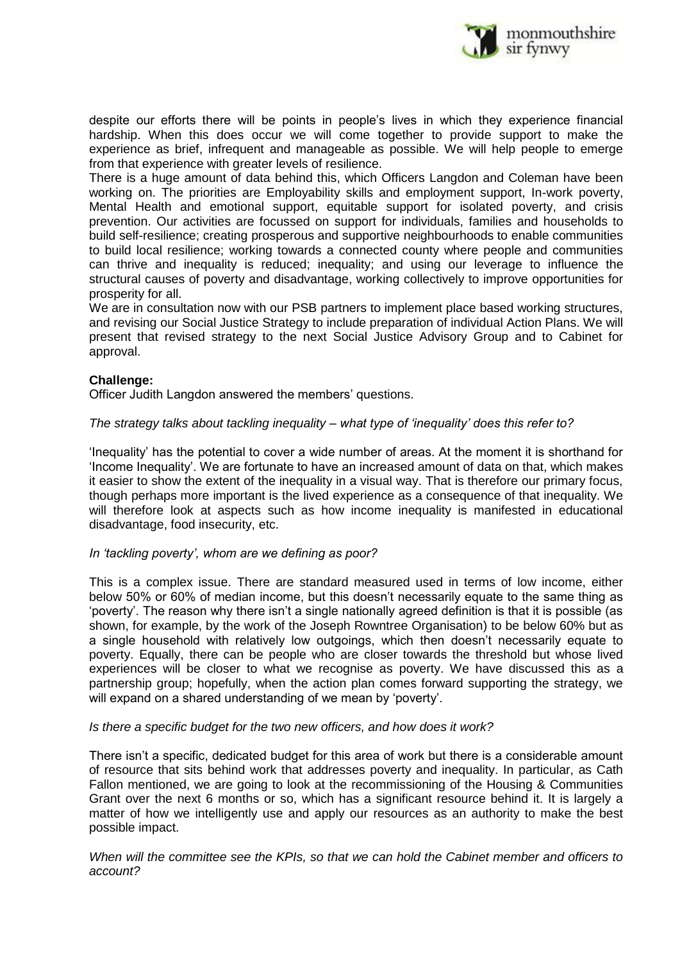

despite our efforts there will be points in people's lives in which they experience financial hardship. When this does occur we will come together to provide support to make the experience as brief, infrequent and manageable as possible. We will help people to emerge from that experience with greater levels of resilience.

There is a huge amount of data behind this, which Officers Langdon and Coleman have been working on. The priorities are Employability skills and employment support, In-work poverty, Mental Health and emotional support, equitable support for isolated poverty, and crisis prevention. Our activities are focussed on support for individuals, families and households to build self-resilience; creating prosperous and supportive neighbourhoods to enable communities to build local resilience; working towards a connected county where people and communities can thrive and inequality is reduced; inequality; and using our leverage to influence the structural causes of poverty and disadvantage, working collectively to improve opportunities for prosperity for all.

We are in consultation now with our PSB partners to implement place based working structures, and revising our Social Justice Strategy to include preparation of individual Action Plans. We will present that revised strategy to the next Social Justice Advisory Group and to Cabinet for approval.

#### **Challenge:**

Officer Judith Langdon answered the members' questions.

## *The strategy talks about tackling inequality – what type of 'inequality' does this refer to?*

'Inequality' has the potential to cover a wide number of areas. At the moment it is shorthand for 'Income Inequality'. We are fortunate to have an increased amount of data on that, which makes it easier to show the extent of the inequality in a visual way. That is therefore our primary focus, though perhaps more important is the lived experience as a consequence of that inequality. We will therefore look at aspects such as how income inequality is manifested in educational disadvantage, food insecurity, etc.

#### *In 'tackling poverty', whom are we defining as poor?*

This is a complex issue. There are standard measured used in terms of low income, either below 50% or 60% of median income, but this doesn't necessarily equate to the same thing as 'poverty'. The reason why there isn't a single nationally agreed definition is that it is possible (as shown, for example, by the work of the Joseph Rowntree Organisation) to be below 60% but as a single household with relatively low outgoings, which then doesn't necessarily equate to poverty. Equally, there can be people who are closer towards the threshold but whose lived experiences will be closer to what we recognise as poverty. We have discussed this as a partnership group; hopefully, when the action plan comes forward supporting the strategy, we will expand on a shared understanding of we mean by 'poverty'.

#### *Is there a specific budget for the two new officers, and how does it work?*

There isn't a specific, dedicated budget for this area of work but there is a considerable amount of resource that sits behind work that addresses poverty and inequality. In particular, as Cath Fallon mentioned, we are going to look at the recommissioning of the Housing & Communities Grant over the next 6 months or so, which has a significant resource behind it. It is largely a matter of how we intelligently use and apply our resources as an authority to make the best possible impact.

*When will the committee see the KPIs, so that we can hold the Cabinet member and officers to account?*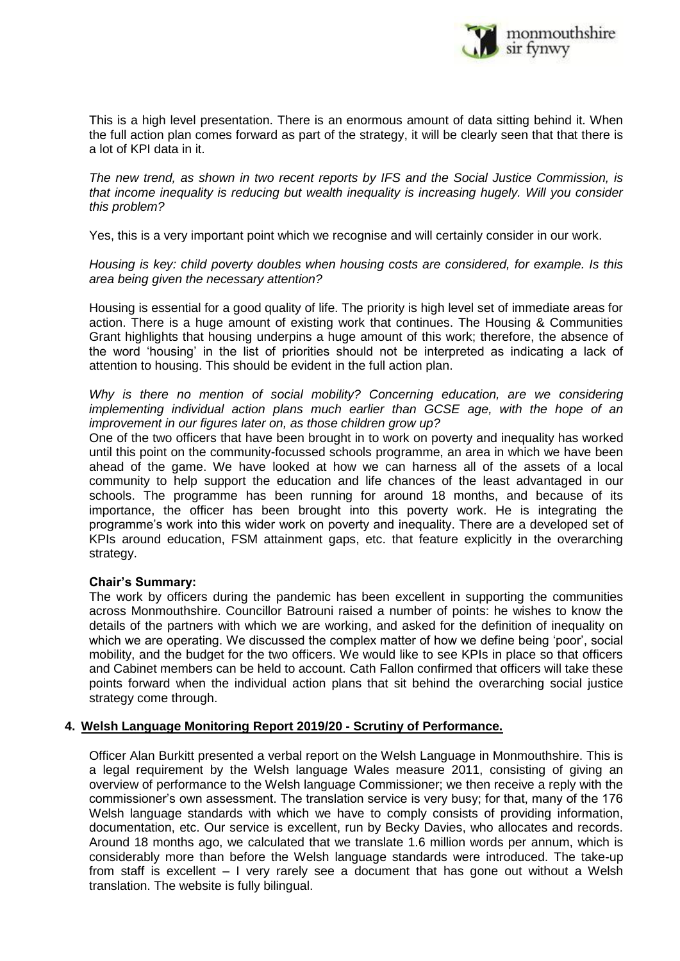

This is a high level presentation. There is an enormous amount of data sitting behind it. When the full action plan comes forward as part of the strategy, it will be clearly seen that that there is a lot of KPI data in it.

*The new trend, as shown in two recent reports by IFS and the Social Justice Commission, is that income inequality is reducing but wealth inequality is increasing hugely. Will you consider this problem?*

Yes, this is a very important point which we recognise and will certainly consider in our work.

*Housing is key: child poverty doubles when housing costs are considered, for example. Is this area being given the necessary attention?*

Housing is essential for a good quality of life. The priority is high level set of immediate areas for action. There is a huge amount of existing work that continues. The Housing & Communities Grant highlights that housing underpins a huge amount of this work; therefore, the absence of the word 'housing' in the list of priorities should not be interpreted as indicating a lack of attention to housing. This should be evident in the full action plan.

*Why is there no mention of social mobility? Concerning education, are we considering implementing individual action plans much earlier than GCSE age, with the hope of an improvement in our figures later on, as those children grow up?*

One of the two officers that have been brought in to work on poverty and inequality has worked until this point on the community-focussed schools programme, an area in which we have been ahead of the game. We have looked at how we can harness all of the assets of a local community to help support the education and life chances of the least advantaged in our schools. The programme has been running for around 18 months, and because of its importance, the officer has been brought into this poverty work. He is integrating the programme's work into this wider work on poverty and inequality. There are a developed set of KPIs around education, FSM attainment gaps, etc. that feature explicitly in the overarching strategy.

#### **Chair's Summary:**

The work by officers during the pandemic has been excellent in supporting the communities across Monmouthshire. Councillor Batrouni raised a number of points: he wishes to know the details of the partners with which we are working, and asked for the definition of inequality on which we are operating. We discussed the complex matter of how we define being 'poor', social mobility, and the budget for the two officers. We would like to see KPIs in place so that officers and Cabinet members can be held to account. Cath Fallon confirmed that officers will take these points forward when the individual action plans that sit behind the overarching social justice strategy come through.

#### **4. Welsh Language Monitoring Report 2019/20 - Scrutiny of Performance.**

Officer Alan Burkitt presented a verbal report on the Welsh Language in Monmouthshire. This is a legal requirement by the Welsh language Wales measure 2011, consisting of giving an overview of performance to the Welsh language Commissioner; we then receive a reply with the commissioner's own assessment. The translation service is very busy; for that, many of the 176 Welsh language standards with which we have to comply consists of providing information, documentation, etc. Our service is excellent, run by Becky Davies, who allocates and records. Around 18 months ago, we calculated that we translate 1.6 million words per annum, which is considerably more than before the Welsh language standards were introduced. The take-up from staff is excellent – I very rarely see a document that has gone out without a Welsh translation. The website is fully bilingual.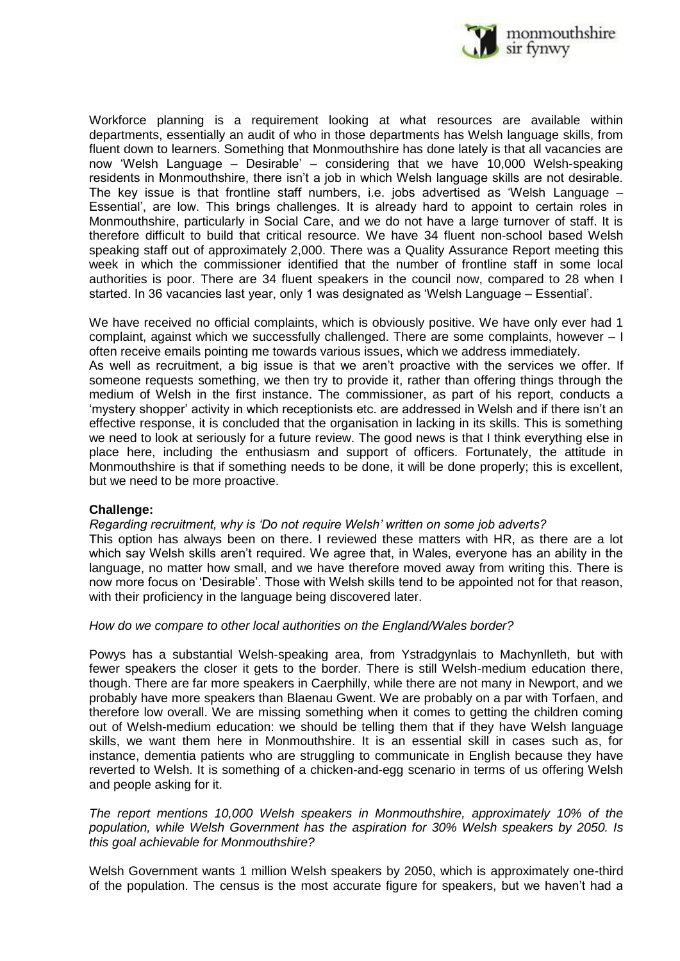

Workforce planning is a requirement looking at what resources are available within departments, essentially an audit of who in those departments has Welsh language skills, from fluent down to learners. Something that Monmouthshire has done lately is that all vacancies are now 'Welsh Language – Desirable' – considering that we have 10,000 Welsh-speaking residents in Monmouthshire, there isn't a job in which Welsh language skills are not desirable. The key issue is that frontline staff numbers, i.e. jobs advertised as 'Welsh Language – Essential', are low. This brings challenges. It is already hard to appoint to certain roles in Monmouthshire, particularly in Social Care, and we do not have a large turnover of staff. It is therefore difficult to build that critical resource. We have 34 fluent non-school based Welsh speaking staff out of approximately 2,000. There was a Quality Assurance Report meeting this week in which the commissioner identified that the number of frontline staff in some local authorities is poor. There are 34 fluent speakers in the council now, compared to 28 when I started. In 36 vacancies last year, only 1 was designated as 'Welsh Language – Essential'.

We have received no official complaints, which is obviously positive. We have only ever had 1 complaint, against which we successfully challenged. There are some complaints, however – I often receive emails pointing me towards various issues, which we address immediately.

As well as recruitment, a big issue is that we aren't proactive with the services we offer. If someone requests something, we then try to provide it, rather than offering things through the medium of Welsh in the first instance. The commissioner, as part of his report, conducts a 'mystery shopper' activity in which receptionists etc. are addressed in Welsh and if there isn't an effective response, it is concluded that the organisation in lacking in its skills. This is something we need to look at seriously for a future review. The good news is that I think everything else in place here, including the enthusiasm and support of officers. Fortunately, the attitude in Monmouthshire is that if something needs to be done, it will be done properly; this is excellent, but we need to be more proactive.

#### **Challenge:**

#### *Regarding recruitment, why is 'Do not require Welsh' written on some job adverts?*

This option has always been on there. I reviewed these matters with HR, as there are a lot which say Welsh skills aren't required. We agree that, in Wales, everyone has an ability in the language, no matter how small, and we have therefore moved away from writing this. There is now more focus on 'Desirable'. Those with Welsh skills tend to be appointed not for that reason, with their proficiency in the language being discovered later.

#### *How do we compare to other local authorities on the England/Wales border?*

Powys has a substantial Welsh-speaking area, from Ystradgynlais to Machynlleth, but with fewer speakers the closer it gets to the border. There is still Welsh-medium education there, though. There are far more speakers in Caerphilly, while there are not many in Newport, and we probably have more speakers than Blaenau Gwent. We are probably on a par with Torfaen, and therefore low overall. We are missing something when it comes to getting the children coming out of Welsh-medium education: we should be telling them that if they have Welsh language skills, we want them here in Monmouthshire. It is an essential skill in cases such as, for instance, dementia patients who are struggling to communicate in English because they have reverted to Welsh. It is something of a chicken-and-egg scenario in terms of us offering Welsh and people asking for it.

#### *The report mentions 10,000 Welsh speakers in Monmouthshire, approximately 10% of the population, while Welsh Government has the aspiration for 30% Welsh speakers by 2050. Is this goal achievable for Monmouthshire?*

Welsh Government wants 1 million Welsh speakers by 2050, which is approximately one-third of the population. The census is the most accurate figure for speakers, but we haven't had a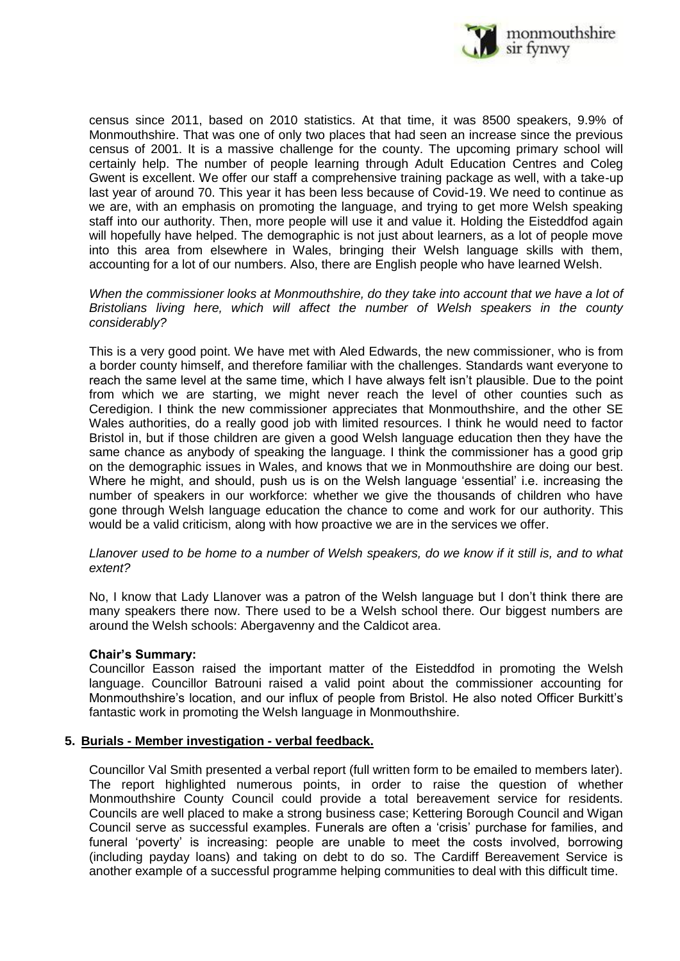

census since 2011, based on 2010 statistics. At that time, it was 8500 speakers, 9.9% of Monmouthshire. That was one of only two places that had seen an increase since the previous census of 2001. It is a massive challenge for the county. The upcoming primary school will certainly help. The number of people learning through Adult Education Centres and Coleg Gwent is excellent. We offer our staff a comprehensive training package as well, with a take-up last year of around 70. This year it has been less because of Covid-19. We need to continue as we are, with an emphasis on promoting the language, and trying to get more Welsh speaking staff into our authority. Then, more people will use it and value it. Holding the Eisteddfod again will hopefully have helped. The demographic is not just about learners, as a lot of people move into this area from elsewhere in Wales, bringing their Welsh language skills with them, accounting for a lot of our numbers. Also, there are English people who have learned Welsh.

When the commissioner looks at Monmouthshire, do they take into account that we have a lot of *Bristolians living here, which will affect the number of Welsh speakers in the county considerably?*

This is a very good point. We have met with Aled Edwards, the new commissioner, who is from a border county himself, and therefore familiar with the challenges. Standards want everyone to reach the same level at the same time, which I have always felt isn't plausible. Due to the point from which we are starting, we might never reach the level of other counties such as Ceredigion. I think the new commissioner appreciates that Monmouthshire, and the other SE Wales authorities, do a really good job with limited resources. I think he would need to factor Bristol in, but if those children are given a good Welsh language education then they have the same chance as anybody of speaking the language. I think the commissioner has a good grip on the demographic issues in Wales, and knows that we in Monmouthshire are doing our best. Where he might, and should, push us is on the Welsh language 'essential' i.e. increasing the number of speakers in our workforce: whether we give the thousands of children who have gone through Welsh language education the chance to come and work for our authority. This would be a valid criticism, along with how proactive we are in the services we offer.

#### *Llanover used to be home to a number of Welsh speakers, do we know if it still is, and to what extent?*

No, I know that Lady Llanover was a patron of the Welsh language but I don't think there are many speakers there now. There used to be a Welsh school there. Our biggest numbers are around the Welsh schools: Abergavenny and the Caldicot area.

#### **Chair's Summary:**

Councillor Easson raised the important matter of the Eisteddfod in promoting the Welsh language. Councillor Batrouni raised a valid point about the commissioner accounting for Monmouthshire's location, and our influx of people from Bristol. He also noted Officer Burkitt's fantastic work in promoting the Welsh language in Monmouthshire.

#### **5. Burials - Member investigation - verbal feedback.**

Councillor Val Smith presented a verbal report (full written form to be emailed to members later). The report highlighted numerous points, in order to raise the question of whether Monmouthshire County Council could provide a total bereavement service for residents. Councils are well placed to make a strong business case; Kettering Borough Council and Wigan Council serve as successful examples. Funerals are often a 'crisis' purchase for families, and funeral 'poverty' is increasing: people are unable to meet the costs involved, borrowing (including payday loans) and taking on debt to do so. The Cardiff Bereavement Service is another example of a successful programme helping communities to deal with this difficult time.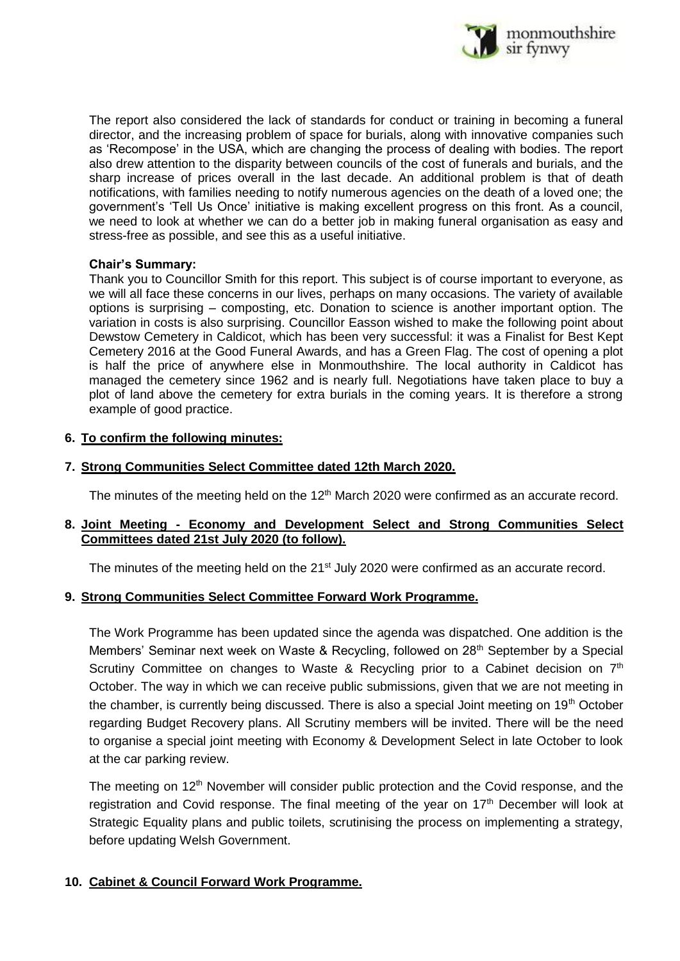

The report also considered the lack of standards for conduct or training in becoming a funeral director, and the increasing problem of space for burials, along with innovative companies such as 'Recompose' in the USA, which are changing the process of dealing with bodies. The report also drew attention to the disparity between councils of the cost of funerals and burials, and the sharp increase of prices overall in the last decade. An additional problem is that of death notifications, with families needing to notify numerous agencies on the death of a loved one; the government's 'Tell Us Once' initiative is making excellent progress on this front. As a council, we need to look at whether we can do a better job in making funeral organisation as easy and stress-free as possible, and see this as a useful initiative.

## **Chair's Summary:**

Thank you to Councillor Smith for this report. This subject is of course important to everyone, as we will all face these concerns in our lives, perhaps on many occasions. The variety of available options is surprising – composting, etc. Donation to science is another important option. The variation in costs is also surprising. Councillor Easson wished to make the following point about Dewstow Cemetery in Caldicot, which has been very successful: it was a Finalist for Best Kept Cemetery 2016 at the Good Funeral Awards, and has a Green Flag. The cost of opening a plot is half the price of anywhere else in Monmouthshire. The local authority in Caldicot has managed the cemetery since 1962 and is nearly full. Negotiations have taken place to buy a plot of land above the cemetery for extra burials in the coming years. It is therefore a strong example of good practice.

## **6. To confirm the following minutes:**

## **7. Strong Communities Select Committee dated 12th March 2020.**

The minutes of the meeting held on the 12<sup>th</sup> March 2020 were confirmed as an accurate record.

## **8. Joint Meeting - Economy and Development Select and Strong Communities Select Committees dated 21st July 2020 (to follow).**

The minutes of the meeting held on the 21<sup>st</sup> July 2020 were confirmed as an accurate record.

## **9. Strong Communities Select Committee Forward Work Programme.**

The Work Programme has been updated since the agenda was dispatched. One addition is the Members' Seminar next week on Waste & Recycling, followed on 28<sup>th</sup> September by a Special Scrutiny Committee on changes to Waste & Recycling prior to a Cabinet decision on  $7<sup>th</sup>$ October. The way in which we can receive public submissions, given that we are not meeting in the chamber, is currently being discussed. There is also a special Joint meeting on 19<sup>th</sup> October regarding Budget Recovery plans. All Scrutiny members will be invited. There will be the need to organise a special joint meeting with Economy & Development Select in late October to look at the car parking review.

The meeting on 12<sup>th</sup> November will consider public protection and the Covid response, and the registration and Covid response. The final meeting of the year on  $17<sup>th</sup>$  December will look at Strategic Equality plans and public toilets, scrutinising the process on implementing a strategy, before updating Welsh Government.

## **10. Cabinet & Council Forward Work Programme.**